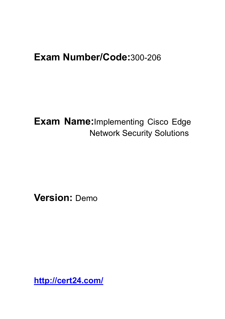# **Exam Number/Code:**300-206

**Exam Name:**Implementing Cisco Edge Network Security Solutions

**Version:** Demo

**<http://cert24.com/>**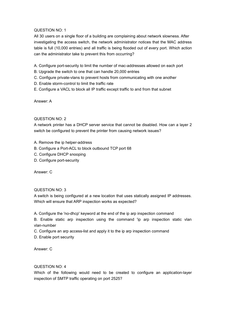QUESTION NO: 1

All 30 users on a single floor of a building are complaining about network slowness. After investigating the access switch, the network administrator notices that the MAC address table is full (10,000 entries) and all traffic is being flooded out of every port. Which action can the administrator take to prevent this from occurring?

- A. Configure port-security to limit the number of mac-addresses allowed on each port
- B. Upgrade the switch to one that can handle 20,000 entries
- C. Configure private-vlans to prevent hosts from communicating with one another
- D. Enable storm-control to limit the traffic rate
- E. Configure a VACL to block all IP traffic except traffic to and from that subnet

Answer: A

## QUESTION NO: 2

A network printer has a DHCP server service that cannot be disabled. How can a layer 2 switch be configured to prevent the printer from causing network issues?

- A. Remove the ip helper-address
- B. Configure a Port-ACL to block outbound TCP port 68
- C. Configure DHCP snooping
- D. Configure port-security

Answer: C

## QUESTION NO: 3

A switch is being configured at a new location that uses statically assigned IP addresses. Which will ensure that ARP inspection works as expected?

A. Configure the 'no-dhcp' keyword at the end of the ip arp inspection command

B. Enable static arp inspection using the command 'ip arp inspection static vlan vlan-number

C. Configure an arp access-list and apply it to the ip arp inspection command

D. Enable port security

Answer: C

## QUESTION NO: 4

Which of the following would need to be created to configure an application-layer inspection of SMTP traffic operating on port 2525?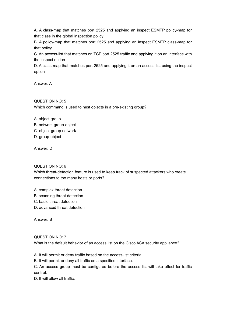A. A class-map that matches port 2525 and applying an inspect ESMTP policy-map for that class in the global inspection policy

B. A policy-map that matches port 2525 and applying an inspect ESMTP class-map for that policy

C. An access-list that matches on TCP port 2525 traffic and applying it on an interface with the inspect option

D. A class-map that matches port 2525 and applying it on an access-list using the inspect option

Answer: A

QUESTION NO: 5 Which command is used to nest objects in a pre-existing group?

- A. object-group
- B. network group-object
- C. object-group network
- D. group-object

Answer: D

## QUESTION NO: 6

Which threat-detection feature is used to keep track of suspected attackers who create connections to too many hosts or ports?

- A. complex threat detection
- B. scanning threat detection
- C. basic threat detection
- D. advanced threat detection

Answer: B

## QUESTION NO: 7

What is the default behavior of an access list on the Cisco ASA security appliance?

A. It will permit or deny traffic based on the access-list criteria.

B. It will permit or deny all traffic on a specified interface.

C. An access group must be configured before the access list will take effect for traffic control.

D. It will allow all traffic.